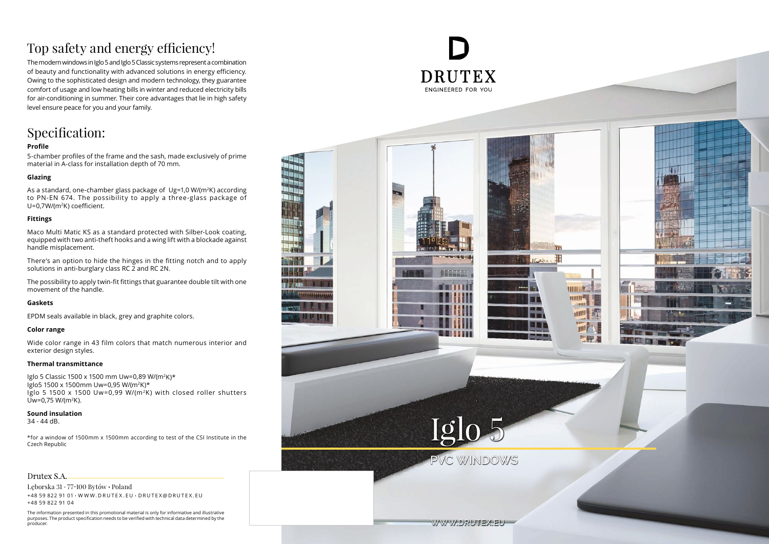The modern windows in Iglo 5 and Iglo 5 Classic systems represent a combination of beauty and functionality with advanced solutions in energy efficiency. Owing to the sophisticated design and modern technology, they guarantee comfort of usage and low heating bills in winter and reduced electricity bills for air-conditioning in summer. Their core advantages that lie in high safety level ensure peace for you and your family.

As a standard, one-chamber glass package of Ug=1,0 W/(m<sup>2</sup>K) according to PN-EN 674. The possibility to apply a three-glass package of U=0,7W/(m <sup>2</sup>K) coefficient.

### Specification:

### **Profile**

5-chamber profiles of the frame and the sash, made exclusively of prime material in A-class for installation depth of 70 mm.

### **Glazing**

### **Fittings**

Maco Multi Matic KS as a standard protected with Silber-Look coating, equipped with two anti-theft hooks and a wing lift with a blockade against handle misplacement.

There's an option to hide the hinges in the fitting notch and to apply solutions in anti-burglary class RC 2 and RC 2N.

The possibility to apply twin-fit fittings that guarantee double tilt with one movement of the handle.

### **Gaskets**

EPDM seals available in black, grey and graphite colors.

### **Color range**

Wide color range in 43 film colors that match numerous interior and exterior design styles.

### **Thermal transmittance**

Iglo 5 Classic 1500 x 1500 mm Uw=0,89 W/(m 2K)\* Iglo5 1500 x 1500mm Uw=0,95 W/(m 2K)\* Iglo 5 1500 x 1500 Uw=0,99 W/(m 2K) with closed roller shutters Uw=0,75 W/(m <sup>2</sup>K).

#### **Sound insulation**

34 - 44 dB.

\*for a window of 1500mm x 1500mm according to test of the CSI Institute in the Czech Republic

### Drutex S.A.

Lęborska 31 77 -100 Bytów Poland +48 59 822 91 01 W W W . D R U T E X . E U D R U T E X @ D R U T E X . E U +48 59 822 91 04

The information presented in this promotional material is only for informative and illustrative purposes. The product specification needs to be verified with technical data determined by the producer.

# ENGINEERED FOR YOU

## Top safety and energy efficiency!